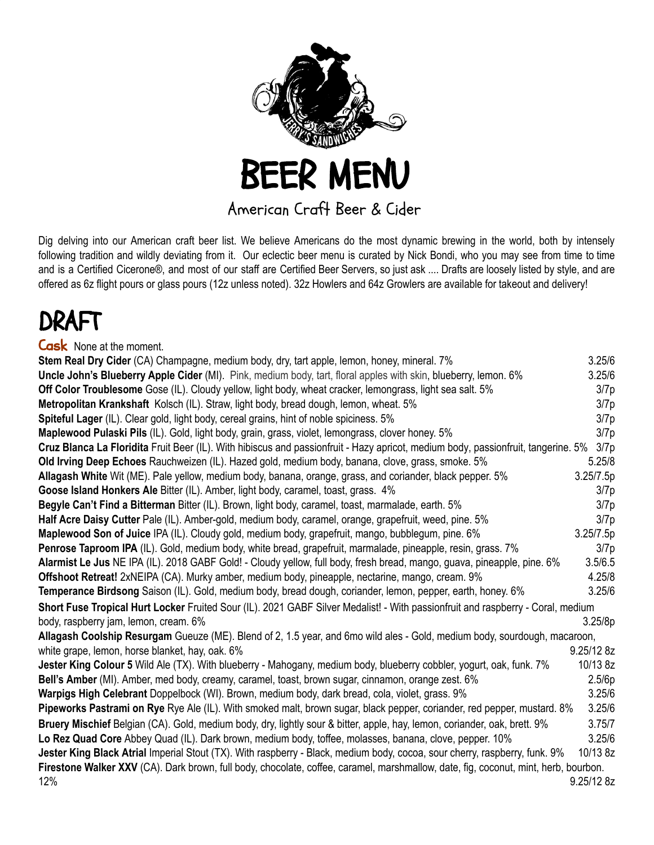

American Craft Beer & Cider

Dig delving into our American craft beer list. We believe Americans do the most dynamic brewing in the world, both by intensely following tradition and wildly deviating from it. Our eclectic beer menu is curated by Nick Bondi, who you may see from time to time and is a Certified Cicerone®, and most of our staff are Certified Beer Servers, so just ask .... Drafts are loosely listed by style, and are offered as 6z flight pours or glass pours (12z unless noted). 32z Howlers and 64z Growlers are available for takeout and delivery!

## DRAFT

| <b>Cask</b> None at the moment.                                                                                                           |            |  |
|-------------------------------------------------------------------------------------------------------------------------------------------|------------|--|
| Stem Real Dry Cider (CA) Champagne, medium body, dry, tart apple, lemon, honey, mineral. 7%                                               | 3.25/6     |  |
| Uncle John's Blueberry Apple Cider (MI). Pink, medium body, tart, floral apples with skin, blueberry, lemon. 6%                           | 3.25/6     |  |
| Off Color Troublesome Gose (IL). Cloudy yellow, light body, wheat cracker, lemongrass, light sea salt. 5%                                 | 3/7p       |  |
| Metropolitan Krankshaft Kolsch (IL). Straw, light body, bread dough, lemon, wheat. 5%                                                     | 3/7p       |  |
| Spiteful Lager (IL). Clear gold, light body, cereal grains, hint of noble spiciness. 5%                                                   | 3/7p       |  |
| Maplewood Pulaski Pils (IL). Gold, light body, grain, grass, violet, lemongrass, clover honey. 5%                                         | 3/7p       |  |
| Cruz Blanca La Floridita Fruit Beer (IL). With hibiscus and passionfruit - Hazy apricot, medium body, passionfruit, tangerine. 5%<br>3/7p |            |  |
| Old Irving Deep Echoes Rauchweizen (IL). Hazed gold, medium body, banana, clove, grass, smoke. 5%                                         | 5.25/8     |  |
| Allagash White Wit (ME). Pale yellow, medium body, banana, orange, grass, and coriander, black pepper. 5%                                 | 3.25/7.5p  |  |
| Goose Island Honkers Ale Bitter (IL). Amber, light body, caramel, toast, grass. 4%                                                        | 3/7p       |  |
| Begyle Can't Find a Bitterman Bitter (IL). Brown, light body, caramel, toast, marmalade, earth. 5%                                        | 3/7p       |  |
| Half Acre Daisy Cutter Pale (IL). Amber-gold, medium body, caramel, orange, grapefruit, weed, pine. 5%                                    | 3/7p       |  |
| Maplewood Son of Juice IPA (IL). Cloudy gold, medium body, grapefruit, mango, bubblegum, pine. 6%                                         | 3.25/7.5p  |  |
| Penrose Taproom IPA (IL). Gold, medium body, white bread, grapefruit, marmalade, pineapple, resin, grass. 7%                              | 3/7p       |  |
| Alarmist Le Jus NE IPA (IL). 2018 GABF Gold! - Cloudy yellow, full body, fresh bread, mango, guava, pineapple, pine. 6%                   | 3.5/6.5    |  |
| Offshoot Retreat! 2xNEIPA (CA). Murky amber, medium body, pineapple, nectarine, mango, cream. 9%                                          | 4.25/8     |  |
| Temperance Birdsong Saison (IL). Gold, medium body, bread dough, coriander, lemon, pepper, earth, honey. 6%                               | 3.25/6     |  |
| Short Fuse Tropical Hurt Locker Fruited Sour (IL). 2021 GABF Silver Medalist! - With passionfruit and raspberry - Coral, medium           |            |  |
| body, raspberry jam, lemon, cream. 6%                                                                                                     | 3.25/8p    |  |
| Allagash Coolship Resurgam Gueuze (ME). Blend of 2, 1.5 year, and 6mo wild ales - Gold, medium body, sourdough, macaroon,                 |            |  |
| white grape, lemon, horse blanket, hay, oak. 6%                                                                                           | 9.25/12 8z |  |
| Jester King Colour 5 Wild Ale (TX). With blueberry - Mahogany, medium body, blueberry cobbler, yogurt, oak, funk. 7%                      | 10/13 8z   |  |
| Bell's Amber (MI). Amber, med body, creamy, caramel, toast, brown sugar, cinnamon, orange zest. 6%                                        | 2.5/6p     |  |
| Warpigs High Celebrant Doppelbock (WI). Brown, medium body, dark bread, cola, violet, grass. 9%                                           | 3.25/6     |  |
| Pipeworks Pastrami on Rye Rye Ale (IL). With smoked malt, brown sugar, black pepper, coriander, red pepper, mustard. 8%                   | 3.25/6     |  |
| Bruery Mischief Belgian (CA). Gold, medium body, dry, lightly sour & bitter, apple, hay, lemon, coriander, oak, brett. 9%                 | 3.75/7     |  |
| Lo Rez Quad Core Abbey Quad (IL). Dark brown, medium body, toffee, molasses, banana, clove, pepper. 10%                                   | 3.25/6     |  |
| Jester King Black Atrial Imperial Stout (TX). With raspberry - Black, medium body, cocoa, sour cherry, raspberry, funk. 9%                | 10/13 8z   |  |
| Firestone Walker XXV (CA). Dark brown, full body, chocolate, coffee, caramel, marshmallow, date, fig, coconut, mint, herb, bourbon.       |            |  |
| 12%                                                                                                                                       | 9.25/12 8z |  |